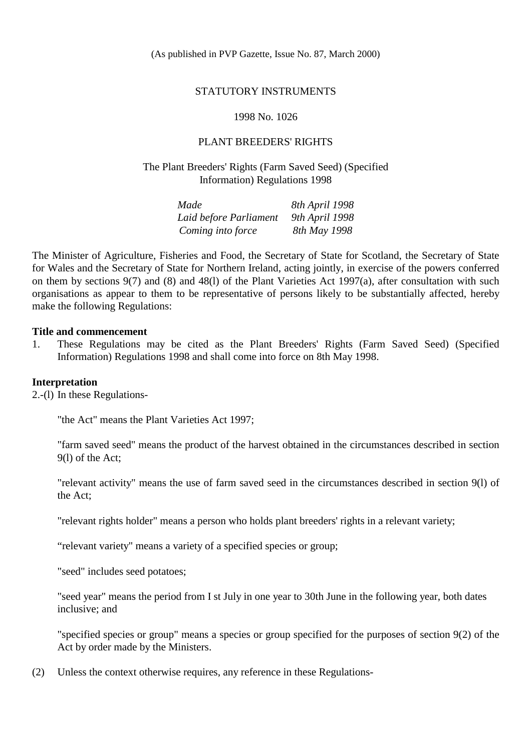### STATUTORY INSTRUMENTS

### 1998 No. 1026

## PLANT BREEDERS' RIGHTS

## The Plant Breeders' Rights (Farm Saved Seed) (Specified Information) Regulations 1998

| Made                   | 8th April 1998 |
|------------------------|----------------|
| Laid before Parliament | 9th April 1998 |
| Coming into force      | 8th May 1998   |

The Minister of Agriculture, Fisheries and Food, the Secretary of State for Scotland, the Secretary of State for Wales and the Secretary of State for Northern Ireland, acting jointly, in exercise of the powers conferred on them by sections 9(7) and (8) and 48(l) of the Plant Varieties Act 1997(a), after consultation with such organisations as appear to them to be representative of persons likely to be substantially affected, hereby make the following Regulations:

### **Title and commencement**

1. These Regulations may be cited as the Plant Breeders' Rights (Farm Saved Seed) (Specified Information) Regulations 1998 and shall come into force on 8th May 1998.

#### **Interpretation**

2.-(l) In these Regulations-

"the Act" means the Plant Varieties Act 1997;

"farm saved seed" means the product of the harvest obtained in the circumstances described in section 9(l) of the Act;

"relevant activity" means the use of farm saved seed in the circumstances described in section 9(l) of the Act;

"relevant rights holder" means a person who holds plant breeders' rights in a relevant variety;

"relevant variety" means a variety of a specified species or group;

"seed" includes seed potatoes;

"seed year" means the period from I st July in one year to 30th June in the following year, both dates inclusive; and

"specified species or group" means a species or group specified for the purposes of section 9(2) of the Act by order made by the Ministers.

(2) Unless the context otherwise requires, any reference in these Regulations-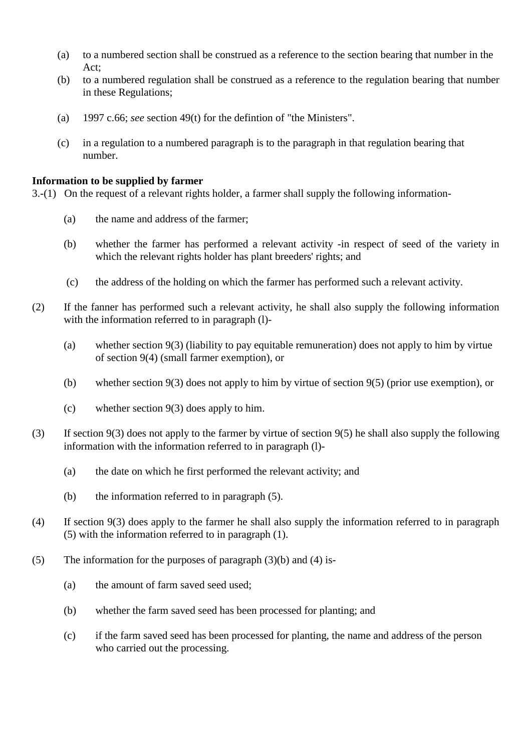- (a) to a numbered section shall be construed as a reference to the section bearing that number in the Act;
- (b) to a numbered regulation shall be construed as a reference to the regulation bearing that number in these Regulations;
- (a) 1997 c.66; *see* section 49(t) for the defintion of "the Ministers".
- (c) in a regulation to a numbered paragraph is to the paragraph in that regulation bearing that number.

## **Information to be supplied by farmer**

3.-(1) On the request of a relevant rights holder, a farmer shall supply the following information-

- (a) the name and address of the farmer;
- (b) whether the farmer has performed a relevant activity -in respect of seed of the variety in which the relevant rights holder has plant breeders' rights; and
- (c) the address of the holding on which the farmer has performed such a relevant activity.
- (2) If the fanner has performed such a relevant activity, he shall also supply the following information with the information referred to in paragraph (l)-
	- (a) whether section 9(3) (liability to pay equitable remuneration) does not apply to him by virtue of section 9(4) (small farmer exemption), or
	- (b) whether section 9(3) does not apply to him by virtue of section 9(5) (prior use exemption), or
	- (c) whether section 9(3) does apply to him.
- (3) If section 9(3) does not apply to the farmer by virtue of section 9(5) he shall also supply the following information with the information referred to in paragraph (l)-
	- (a) the date on which he first performed the relevant activity; and
	- (b) the information referred to in paragraph (5).
- (4) If section 9(3) does apply to the farmer he shall also supply the information referred to in paragraph (5) with the information referred to in paragraph (1).
- (5) The information for the purposes of paragraph  $(3)(b)$  and  $(4)$  is-
	- (a) the amount of farm saved seed used;
	- (b) whether the farm saved seed has been processed for planting; and
	- (c) if the farm saved seed has been processed for planting, the name and address of the person who carried out the processing.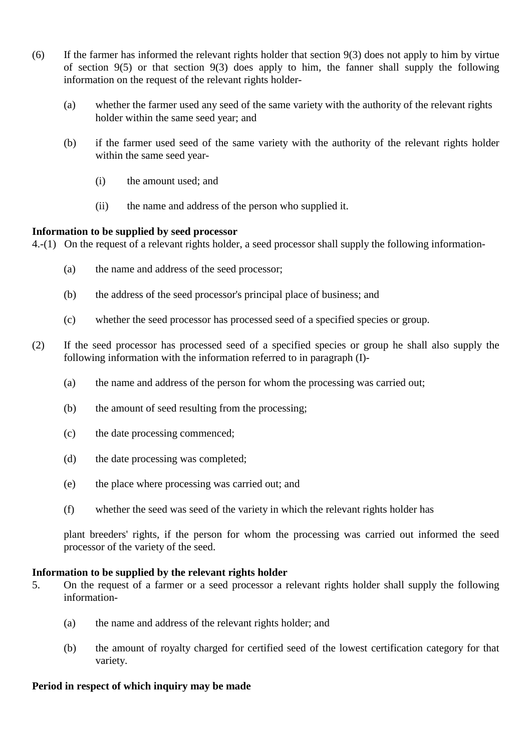- (6) If the farmer has informed the relevant rights holder that section 9(3) does not apply to him by virtue of section 9(5) or that section 9(3) does apply to him, the fanner shall supply the following information on the request of the relevant rights holder-
	- (a) whether the farmer used any seed of the same variety with the authority of the relevant rights holder within the same seed year; and
	- (b) if the farmer used seed of the same variety with the authority of the relevant rights holder within the same seed year-
		- (i) the amount used; and
		- (ii) the name and address of the person who supplied it.

# **Information to be supplied by seed processor**

4.-(1) On the request of a relevant rights holder, a seed processor shall supply the following information-

- (a) the name and address of the seed processor;
- (b) the address of the seed processor's principal place of business; and
- (c) whether the seed processor has processed seed of a specified species or group.
- (2) If the seed processor has processed seed of a specified species or group he shall also supply the following information with the information referred to in paragraph (I)-
	- (a) the name and address of the person for whom the processing was carried out;
	- (b) the amount of seed resulting from the processing;
	- (c) the date processing commenced;
	- (d) the date processing was completed;
	- (e) the place where processing was carried out; and
	- (f) whether the seed was seed of the variety in which the relevant rights holder has

plant breeders' rights, if the person for whom the processing was carried out informed the seed processor of the variety of the seed.

# **Information to be supplied by the relevant rights holder**

- 5. On the request of a farmer or a seed processor a relevant rights holder shall supply the following information-
	- (a) the name and address of the relevant rights holder; and
	- (b) the amount of royalty charged for certified seed of the lowest certification category for that variety.

# **Period in respect of which inquiry may be made**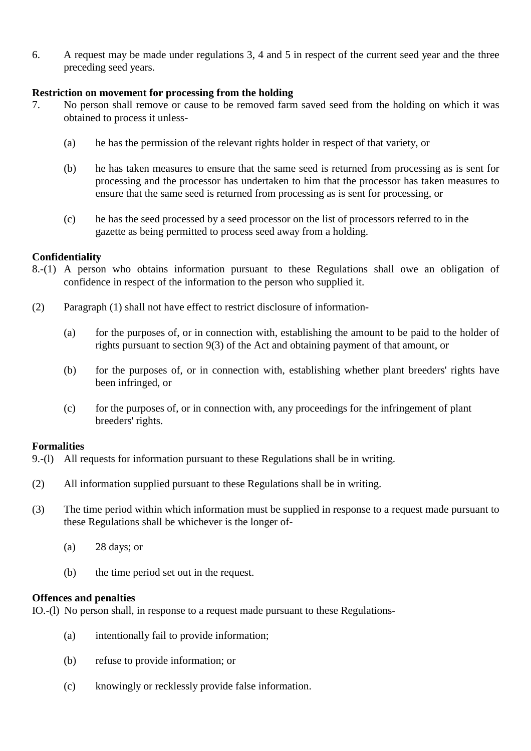6. A request may be made under regulations 3, 4 and 5 in respect of the current seed year and the three preceding seed years.

## **Restriction on movement for processing from the holding**

- 7. No person shall remove or cause to be removed farm saved seed from the holding on which it was obtained to process it unless-
	- (a) he has the permission of the relevant rights holder in respect of that variety, or
	- (b) he has taken measures to ensure that the same seed is returned from processing as is sent for processing and the processor has undertaken to him that the processor has taken measures to ensure that the same seed is returned from processing as is sent for processing, or
	- (c) he has the seed processed by a seed processor on the list of processors referred to in the gazette as being permitted to process seed away from a holding.

## **Confidentiality**

- 8.-(1) A person who obtains information pursuant to these Regulations shall owe an obligation of confidence in respect of the information to the person who supplied it.
- (2) Paragraph (1) shall not have effect to restrict disclosure of information-
	- (a) for the purposes of, or in connection with, establishing the amount to be paid to the holder of rights pursuant to section 9(3) of the Act and obtaining payment of that amount, or
	- (b) for the purposes of, or in connection with, establishing whether plant breeders' rights have been infringed, or
	- (c) for the purposes of, or in connection with, any proceedings for the infringement of plant breeders' rights.

## **Formalities**

- 9.-(l) All requests for information pursuant to these Regulations shall be in writing.
- (2) All information supplied pursuant to these Regulations shall be in writing.
- (3) The time period within which information must be supplied in response to a request made pursuant to these Regulations shall be whichever is the longer of-
	- (a) 28 days; or
	- (b) the time period set out in the request.

## **Offences and penalties**

IO.-(l) No person shall, in response to a request made pursuant to these Regulations-

- (a) intentionally fail to provide information;
- (b) refuse to provide information; or
- (c) knowingly or recklessly provide false information.